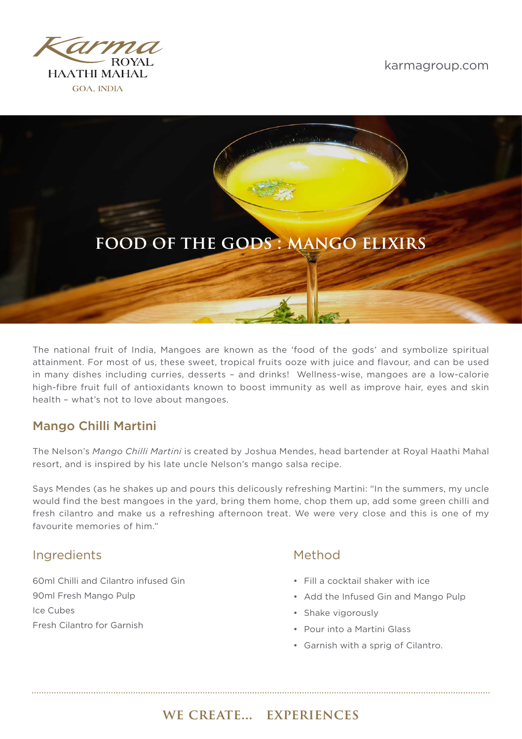



The national fruit of India, Mangoes are known as the 'food of the gods' and symbolize spiritual attainment. For most of us, these sweet, tropical fruits ooze with juice and flavour, and can be used in many dishes including curries, desserts – and drinks! Wellness-wise, mangoes are a low-calorie high-fibre fruit full of antioxidants known to boost immunity as well as improve hair, eyes and skin health – what's not to love about mangoes.

### Mango Chilli Martini

The Nelson's *Mango Chilli Martini* is created by Joshua Mendes, head bartender at Royal Haathi Mahal resort, and is inspired by his late uncle Nelson's mango salsa recipe.

Says Mendes (as he shakes up and pours this delicously refreshing Martini: "In the summers, my uncle would find the best mangoes in the yard, bring them home, chop them up, add some green chilli and fresh cilantro and make us a refreshing afternoon treat. We were very close and this is one of my favourite memories of him."

### **Ingredients**

60ml Chilli and Cilantro infused Gin 90ml Fresh Mango Pulp Ice Cubes Fresh Cilantro for Garnish

## Method

- Fill a cocktail shaker with ice
- Add the Infused Gin and Mango Pulp
- Shake vigorously
- Pour into a Martini Glass
- Garnish with a sprig of Cilantro.

# we create... experiences